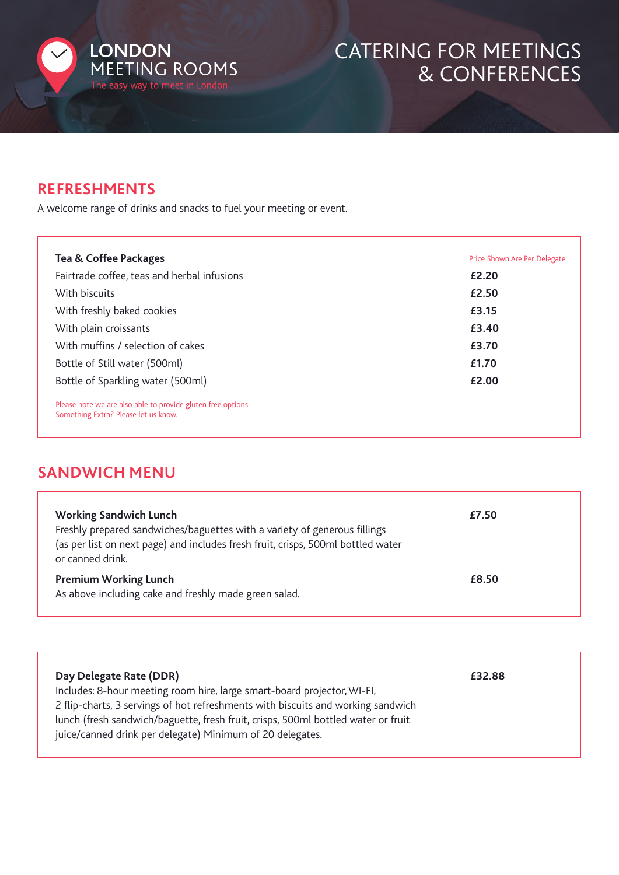

# CATERING FOR MEETINGS & CONFERENCES

#### **REFRESHMENTS**

A welcome range of drinks and snacks to fuel your meeting or event.

| <b>Tea &amp; Coffee Packages</b>                                                                     | Price Shown Are Per Delegate. |
|------------------------------------------------------------------------------------------------------|-------------------------------|
| Fairtrade coffee, teas and herbal infusions                                                          | £2.20                         |
| With biscuits                                                                                        | £2.50                         |
| With freshly baked cookies                                                                           | £3.15                         |
| With plain croissants                                                                                | £3.40                         |
| With muffins / selection of cakes                                                                    | £3.70                         |
| Bottle of Still water (500ml)                                                                        | £1.70                         |
| Bottle of Sparkling water (500ml)                                                                    | £2.00                         |
| Please note we are also able to provide gluten free options.<br>Something Extra? Please let us know. |                               |

### **SANDWICH MENU**

| <b>Working Sandwich Lunch</b><br>Freshly prepared sandwiches/baguettes with a variety of generous fillings<br>(as per list on next page) and includes fresh fruit, crisps, 500ml bottled water<br>or canned drink. | £7.50 |
|--------------------------------------------------------------------------------------------------------------------------------------------------------------------------------------------------------------------|-------|
| <b>Premium Working Lunch</b><br>As above including cake and freshly made green salad.                                                                                                                              | £8.50 |

| Day Delegate Rate (DDR)                                                           | £32.88 |
|-----------------------------------------------------------------------------------|--------|
| Includes: 8-hour meeting room hire, large smart-board projector, WI-FI,           |        |
| 2 flip-charts, 3 servings of hot refreshments with biscuits and working sandwich  |        |
| lunch (fresh sandwich/baguette, fresh fruit, crisps, 500ml bottled water or fruit |        |
| juice/canned drink per delegate) Minimum of 20 delegates.                         |        |
|                                                                                   |        |